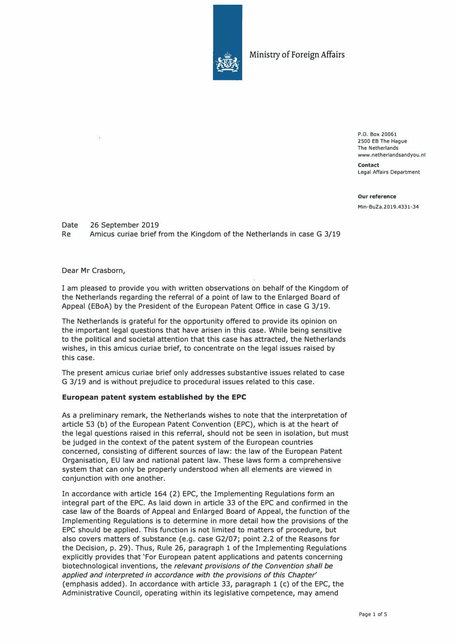

Ministry of Foreign Affairs

P.O. Box 20061 2500 EB The Hague The Netherlands www.netherlandsandyou.nl

**Contact**  Legal Affairs Department

**Our reference** Min-BuZa.2019.4331-34

Date 26 September 2019 Re Amicus curiae brief from the Kinqdom of the Netherlands in case G 3/19

Dear Mr Crasborn,

I am pleased to provide you with written observations on behalf of the Kingdom of the Netherlands regarding the referral of a point of law to the Enlarged Board of Appeal (EBoA) by the President of the European Patent Office in case G 3/19.

The Netherlands is grateful for the opportunity offered to provide its opinion on the important legal questions that have arisen in this case. While being sensitive to the political and societal attention that this case has attracted, the'Netherlands wishes, in this amicus curiae brief, to concentrate on the legal issues raised by this case.

The present amicus curiae brief only addresses substantive issues related to case G 3/19 and is without prejudice to procedural issues related to this case.

### **European patent system established by the EPC**

As a preliminary remark, the Netherlands wishes to note that the interpretation of article 53 (b) of the European Patent Convention (EPC), which is at the heart of the legal questions raised in this referral, should not be seen in isolation, but must be judged in the context of the patent system of the European countries concerned, consisting of different sources of law: the law of the European Patent Organisation, EU law and national patent law. These laws form a comprehensive system that can only be properly understood when all elements are viewed in conjunction with one another.

In accordance with article 164 (2) EPC, the Implementing Regulations form an integral part of the EPC. As laid down in article 33 of the EPC and confirmed in the case law of the Boards of Appeal and Enlarged Board of Appeal, the function of the Implementing Regulations is to determine in more detail how the provisions of the EPC should be applied. This function is not limited to matters of procedure, but also covers matters of substance (e.g. case G2/07; point 2.2 of the Reasons for the Decision, p. 29). Thus, Rule 26, paragraph 1 of the Implementing Regulations explicitly provides that 'For European patent applications and patents concerning biotechnological inventions, the *relevant provisions of the Convention sha/1 be app/ied and interpreted in accordance with the provisions of this Chapter'*  (emphasis added). In accordance with article 33, paragraph 1 (c) of the EPC, the Administrative Council, operating within its legislative competence, may amend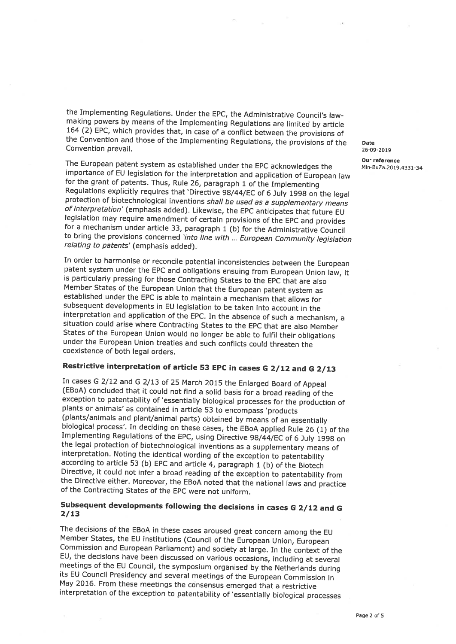the Implementing Regulations. Under the EPC, the Administrative Council's law-<br>making powers by means of the Implementing Regulations are limited by article 164 (2) EPC, which provides that, in case of a conflict between the provisions of<br>the Convention and those of the Implementing Regulations, the provisions of the Date<br>Convention prevail.

The European patent system as established under the EPC acknowledges the<br>
importance of EU legislation for the interpretation and application of European law<br>
for the grant of patents. Thus, Rule 26, paragraph 1 of the Imp to bring the provisions concerned 'into line with ... European Community legislation relating to patents' (emphasis added).

In order to harmonise or reconcile potential inconsistencies between the European patent system under the EPC and obligations ensuing from European Union law, it is particularly pressing for those Contracting States to the Member States of the European Union that the European patent system as established under the EPC is able to maintain <sup>a</sup> mechanism that allows for subsequent developments in EU legislation to be taken into account in the interpretation and application of the EPC. In the absence of such a mechanism, a situation could arise where Contracting States to the EPC that are also Member States of the European Union would no longer be able to fulfil their obligations under the European Union treaties and such conflicts could threaten the coexistence of both legal orders.

#### Restrictive interpretation of article <sup>53</sup> EPC in cases G 2/12 and G 2/13

In cases G 2/12 and (EB0A) concluded that it could not find a solid basis for a broad reading of the exception to patentability of 'essentially biological processes for the production of plants or animals' as contained in article 53 to encomp (plants/animals and plant/animal parts) obtained by means of an essentially<br>biological process'. In deciding on these cases, the EBoA applied Rule 26 (1) of the<br>Implementing Regulations of the EPC, using Directive 98/44/EC the Directive either. Moreover, the EBoA noted that the national laws and practice of the Contracting States of the EPC were not uniform.

# Subsequent developments following the decisions in cases G 2/12 and <sup>G</sup> 2/13

The decisions of the EBoA in these cases aroused great concern among the EU Member States, the EU institutions (Council of the European Union, European Commission and European Parliament) and society at large. In the conte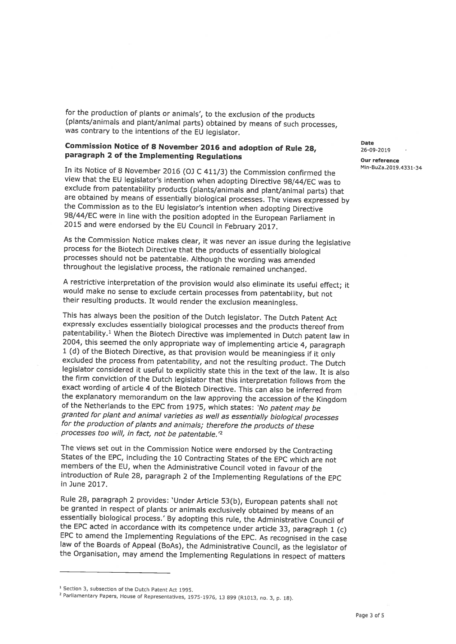for the production of <sup>p</sup>lants or animals', to the exclusion of the products (plants/animals and <sup>p</sup>lant/animal parts) obtained by means of such processes, was contrary to the intentions of the EU legislator.

### **Commission Notice of 8 November 2016 and adoption of Rule 28,**  $26-09-2019$ paragraph 2 of the Implementing Regulations and the contract our reference

Min-BuZa.2019.4331-34 In its Notice of <sup>8</sup> November <sup>2016</sup> (OJ C 411/3) the Commission confirmed the view that the EU legislator's intention when adopting Directive 98/44/EC was to exclude from patentability products (plants/animals and plant/animal parts) that<br>are obtained by means of essentially biological processes. The views expressed by the Commission as to the EU legislator's intention when adopting Directive 98/44/EC were in line with the position adopted in the European Parliament in 2015 and were endorsed by the EU Council in February 2017.

As the Commission Notice makes dear, It was never an issue during the legislative process for the Biotech Directive that the products of essentially biological throughout the legislative process, the rationale remained unchanged.

A restrictive interpretation of the provision would also eliminate its useful effect; it would make no sense to exclude certain processes from patentability, but not their resulting products. It would render the exclusion

This has always been the position of the Dutch legislator. The Dutch Patent Act expressly excludes essentially biological processes and the products thereof from<br>patentability.<sup>1</sup> When the Biotech Directive was implemented in Dutch patent law in 2004, this seemed the only appropriate way of implementing article 4, paragraph 1 (d) of the Biotech Directive, as that provision would be meaningless if it only excluded the process from patentability, and not the resulting product. The Dutch<br>legislator considered it useful to explicitly state this in the text of the law. It is also the firm conviction of the Dutch legislator that this interpretation follows from the exact wording of article <sup>4</sup> of the Biotech Directive. This can also be inferred from the explanatory memorandum on the law approving the accession of the Kingdom<br>of the Netherlands to the EPC from 1975, which states: 'No patent may be<br>granted for plant and animal varieties as well as essentially biological processes too will, in fact, not be patentable.'2

The views set out in the Commission Notice were endorsed by the Contracting States of the EPC, including the <sup>10</sup> Contracting States of the EPC which are not members of the EU, when the Administrative Council voted in favour of the introduction of Rule 28, paragraph <sup>2</sup> of the Implementing Regulations of the EPC in June 2017.

Rule 28, paragraph 2 provides: 'Under Article 53(b), European patents shall not<br>be granted in respect of plants or animals exclusively obtained by means of an<br>essentially biological process.' By adopting this rule, the Adm EPC to amend the Implementing Regulations of the EPC. As recognised in the case law of the Boards of Appeal (BoAs), the Administrative Council, as the legislator of the Organisation, may amend the Implementing Regulations

<sup>1</sup> Section 3, subsection of the Dutch Patent Act 1995.

<sup>&</sup>lt;sup>2</sup> Parliamentary Papers, House of Representatives, 1975-1976, 13 899 (R1013, no. 3, p. 18).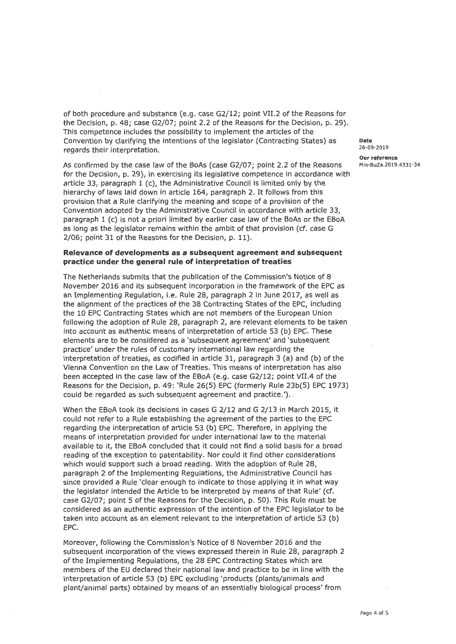of both procedure and substance (e.g. case G2/12; point VII.2 of the Reasons for the Decision, p. 48; case G2/07; point 2.2 of the Reasons for the Decision, p. 29). This competence includes the possibility to implement the Convention by clarifying the intentions of the legislator (Contracting States) as Date<br>regards their interpretation.

As confirmed by the case law of the BoAs (case G2/07; point 2.2 of the Reasons Min-BuZa.2019.4331-34<br>for the Decision, p. 29), in exercising its legislative competence in accordance with<br>article 33, paragraph 1 (c), the Ad provision that a Rule clarifying the meaning and scope of a provision of the<br>Convention adopted by the Administrative Council in accordance with article 33,<br>paragraph 1 (c) is not a priori limited by earlier case law of th as long as the legislator remains within the ambit of that provision (cf. case G 2/06; point <sup>31</sup> of the Reasons for the Decision, p. 11).

## Relevance of developments as a subsequent agreement and subsequent<br>practice under the general rule of interpretation of treaties

The Netherlands submits that the publication of the Commission's Notice of <sup>8</sup> November <sup>2016</sup> and its subsequent incorporation in the framework of the EPC as an Implementing Regulation, i.e. Rule 28, paragraph <sup>2</sup> in June 2017, as well as the alignment of the practices of the 38 Contracting States of the EPC, including<br>the 10 EPC Contracting States which are not members of the European Union<br>following the adoption of Rule 28, paragraph 2, are relevant eleme into account as authentic means of interpretation of article 53 (b) EPC. These<br>elements are to be considered as a 'subsequent agreement' and 'subsequent<br>practice' under the rules of customary international law regarding t

When the EBoA took its decisions in cases G 2/12 and could not refer to a Rule establishing the agreement of the parties to the EPC regarding the interpretation of article 53 (b) EPC. Therefore, in applying the means of interpretation provided for under international law to the material available to it, the EB0A concluded that it could not find <sup>a</sup> solid basis for <sup>a</sup> broad reading of the exception to patentability. Nor could it find other considerations which would support such <sup>a</sup> broad reading. With the adoption of Rule 28, paragraph <sup>2</sup> of the Implementing Regulations, the Administrative Council has since provided a Rule 'clear enough to indicate to those applying it in what way the legislator intended the Article to be interpreted by means of that Rule' (cf. case G2/07; point 5 of the Reasons for the Decision, p. 50). This Rule must be considered as an authentic expression of the intention of the EPC legislator to be taken into account as an element relevant to the interpretat

Moreover, following the Commission's Notice of <sup>8</sup> November <sup>2016</sup> and the subsequent incorporation of the views expressed therein in Rule 28, paragraph <sup>2</sup> of the Implementing Regulations, the <sup>28</sup> EPC Contracting States which are members of the EU declared their national law and practice to be in line with the interpretation of article <sup>53</sup> (b) EPC excluding 'products (plants/animals and <sup>p</sup>lant/animal parts) obtained by means of an essentially biological process' from